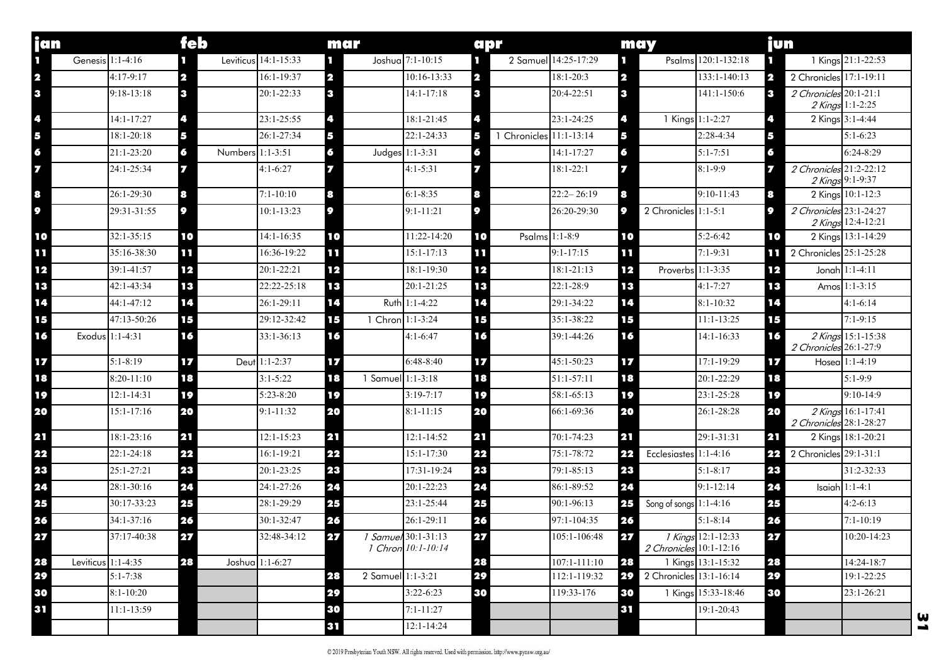| jan                     |                    | feb            |                      | mar          |                                                  | apr                          |                      | may                               |                     | jun                                                |                    |
|-------------------------|--------------------|----------------|----------------------|--------------|--------------------------------------------------|------------------------------|----------------------|-----------------------------------|---------------------|----------------------------------------------------|--------------------|
| п                       | Genesis 1:1-4:16   |                | Leviticus 14:1-15:33 | п            | Joshua 7:1-10:15                                 | n.                           | 2 Samuel 14:25-17:29 | ш                                 | Psalms 120:1-132:18 | п                                                  | 1 Kings 21:1-22:53 |
| $\overline{\mathbf{2}}$ | $4:17-9:17$        | 2              | 16:1-19:37           | $\mathbf{2}$ | $10:16-13:33$                                    | $\mathbf{2}$                 | $18:1 - 20:3$        | 2                                 | $133:1 - 140:13$    | 2 Chronicles 17:1-19:11<br>$\overline{\mathbf{2}}$ |                    |
| $\mathbf{3}$            | $9:18-13:18$       | $\mathbf{3}$   | 20:1-22:33           | 13           | $14:1 - 17:18$                                   | $\mathbf{3}$                 | 20:4-22:51           | $\mathbf{3}$                      | 141:1-150:6         | 2 Chronicles 20:1-21:1<br>3                        | 2 Kings 1:1-2:25   |
| 4                       | 14:1-17:27         | 4              | 23:1-25:55           | 4            | 18:1-21:45                                       | 4                            | 23:1-24:25           | 45                                | 1 Kings 1:1-2:27    | 4                                                  | 2 Kings 3:1-4:44   |
| 5                       | $18:1 - 20:18$     | 5              | 26:1-27:34           | 5            | 22:1-24:33                                       | 1 Chronicles 11:1-13:14<br>5 |                      | 5                                 | 2:28-4:34           | 5                                                  | $5:1-6:23$         |
| 6                       | 21:1-23:20         | 6              | Numbers 1:1-3:51     | 6            | Judges 1:1-3:31                                  | 6                            | 14:1-17:27           | 6                                 | $5:1 - 7:51$        | 6                                                  | $6:24-8:29$        |
| 7                       | 24:1-25:34         |                | $4:1-6:27$           | 7            | $4:1 - 5:31$                                     |                              | $18:1 - 22:1$        |                                   | $8:1 - 9:9$         | 2 Chronicles 21:2-22:12<br>77                      | 2 Kings 9:1-9:37   |
| 8                       | 26:1-29:30         | 8              | $7:1 - 10:10$        | 8            | $6:1 - 8:35$                                     | 8                            | $22:2 - 26:19$       | 8                                 | $9:10-11:43$        | 8                                                  | 2 Kings 10:1-12:3  |
| 9                       | 29:31-31:55        | 9              | $10:1 - 13:23$       | 9            | $9:1 - 11:21$                                    | 9                            | 26:20-29:30          | 2 Chronicles 1:1-5:1<br>$\bullet$ |                     | 2 Chronicles 23:1-24:27<br>$\bullet$               | 2 Kings 12:4-12:21 |
| 10                      | 32:1-35:15         | 10             | $14:1 - 16:35$       | 10           | 11:22-14:20                                      | 10                           | Psalms 1:1-8:9       | 10                                | $5:2 - 6:42$        | 10                                                 | 2 Kings 13:1-14:29 |
| τL                      | 35:16-38:30        | Ш              | 16:36-19:22          | пT           | $15:1 - 17:13$                                   | пı                           | $9:1 - 17:15$        | M                                 | $7:1 - 9:31$        | 2 Chronicles 25:1-25:28<br>ш                       |                    |
| 12                      | 39:1-41:57         | 12             | 20:1-22:21           | 12           | 18:1-19:30                                       | 12                           | $18:1 - 21:13$       | 12                                | Proverbs 1:1-3:35   | 12                                                 | Jonah 1:1-4:11     |
| 13                      | 42:1-43:34         | 13             | 22:22-25:18          | 13           | 20:1-21:25                                       | 13                           | 22:1-28:9            | 13                                | $4:1 - 7:27$        | 13                                                 | Amos 1:1-3:15      |
| 14                      | 44:1-47:12         | 14             | 26:1-29:11           | 14           | Ruth 1:1-4:22                                    | 14                           | 29:1-34:22           | 14                                | $8:1 - 10:32$       | 14                                                 | $4:1-6:14$         |
| 15                      | 47:13-50:26        | 15             | 29:12-32:42          | 15           | 1 Chron 1:1-3:24                                 | 15                           | 35:1-38:22           | 15                                | $11:1 - 13:25$      | 15                                                 | $7:1 - 9:15$       |
| 16                      | Exodus 1:1-4:31    | 16             | $33:1 - 36:13$       | 16           | $4:1 - 6:47$                                     | 16                           | 39:1-44:26           | 16                                | 14:1-16:33          | 16<br>2 Chronicles 26:1-27:9                       | 2 Kings 15:1-15:38 |
| 17                      | $5:1 - 8:19$       | $\overline{z}$ | Deut 1:1-2:37        | 17           | $6:48-8:40$                                      | 17                           | 45:1-50:23           | $\mathbf{E}$                      | 17:1-19:29          | 17                                                 | Hosea 1:1-4:19     |
| 18                      | 8:20-11:10         | 18             | $3:1 - 5:22$         | 18           | 1 Samuel $1:1-3:18$                              | 18                           | $51:1 - 57:11$       | 18                                | 20:1-22:29          | 18                                                 | $5:1-9:9$          |
| 19                      | $12:1 - 14:31$     | 19             | $5:23-8:20$          | 19           | $3:19 - 7:17$                                    | 19                           | 58:1-65:13           | 19                                | 23:1-25:28          | 19                                                 | $9:10-14:9$        |
| 20                      | $15:1 - 17:16$     | 20             | $9:1 - 11:32$        | 20           | $8:1 - 11:15$                                    | 20                           | 66:1-69:36           | 20                                | 26:1-28:28          | 20<br>2 Chronicles 28:1-28:27                      | 2 Kings 16:1-17:41 |
| 21                      | 18:1-23:16         | 21             | $12:1 - 15:23$       | 21           | $12:1 - 14:52$                                   | 21                           | 70:1-74:23           | 21                                | 29:1-31:31          | 21                                                 | 2 Kings 18:1-20:21 |
| 22                      | $22:1 - 24:18$     | 22             | 16:1-19:21           | 22           | 15:1-17:30                                       | 22                           | 75:1-78:72           | Ecclesiastes 1:1-4:16<br>22       |                     | 2 Chronicles 29:1-31:1<br>22                       |                    |
| 23                      | 25:1-27:21         | 23             | 20:1-23:25           | 23           | 17:31-19:24                                      | 23                           | 79:1-85:13           | 23                                | $5:1 - 8:17$        | 23                                                 | 31:2-32:33         |
| 24                      | 28:1-30:16         | 24             | 24:1-27:26           | 24           | 20:1-22:23                                       | 24                           | 86:1-89:52           | 24                                | $9:1 - 12:14$       | 24                                                 | Isaiah $1:1-4:1$   |
| 25                      | 30:17-33:23        | 25             | 28:1-29:29           | 25           | 23:1-25:44                                       | 25                           | 90:1-96:13           | 25<br>Song of songs $1:1-4:16$    |                     | 25                                                 | $4:2-6:13$         |
| 26                      | 34:1-37:16         | 26             | 30:1-32:47           | 26           | 26:1-29:11                                       | 26                           | 97:1-104:35          | 26                                | $5:1 - 8:14$        | 26                                                 | $7:1 - 10:19$      |
| 27                      | 37:17-40:38        | 27             | 32:48-34:12          | 27           | <i>1 Samuel</i> 30:1-31:13<br>1 Chron 10:1-10:14 | 27                           | $105:1-106:48$       | 27<br>2 Chronicles 10:1-12:16     | 1 Kings 12:1-12:33  | 27                                                 | 10:20-14:23        |
| 28                      | Leviticus 1:1-4:35 | 28             | Joshua 1:1-6:27      |              |                                                  | 28                           | $107:1 - 111:10$     | 28                                | 1 Kings 13:1-15:32  | 28                                                 | 14:24-18:7         |
| 29                      | $5:1 - 7:38$       |                |                      | 28           | 2 Samuel 1:1-3:21                                | 29                           | 112:1-119:32         | 29<br>2 Chronicles 13:1-16:14     |                     | 29                                                 | 19:1-22:25         |
| 30                      | $8:1 - 10:20$      |                |                      | 29           | $3:22-6:23$                                      | 30                           | 119:33-176           | 30                                | 1 Kings 15:33-18:46 | 30                                                 | 23:1-26:21         |
| 31                      | $11:1-13:59$       |                |                      | 30           | $7:1 - 11:27$                                    |                              |                      | 31                                | 19:1-20:43          |                                                    | ω                  |
|                         |                    |                |                      | 31           | 12:1-14:24                                       |                              |                      |                                   |                     |                                                    | -                  |